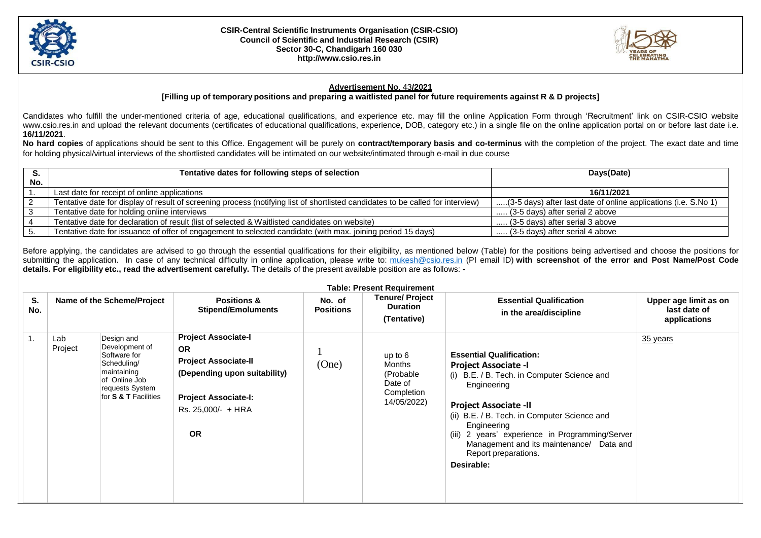

## **CSIR-Central Scientific Instruments Organisation (CSIR-CSIO) Council of Scientific and Industrial Research (CSIR) Sector 30-C, Chandigarh 160 03[0](http://www.csio.res.in/) [http://www.csio.res.in](http://www.csio.res.in/)**



## **Advertisement No**. 43**/2021**

**[Filling up of temporary positions and preparing a waitlisted panel for future requirements against R & D projects]**

Candidates who fulfill the under-mentioned criteria of age, educational qualifications, and experience etc. may fill the online Application Form through 'Recruitment' link on CSIR-CSIO websit[e](http://www.csio.res.in/) [www.csio.res.in](http://www.csio.res.in/) and upload the relevant documents (certificates of educational qualifications, experience, DOB, category etc.) in a single file on the online application portal on or before last date i.e. **16/11/2021**.

**No hard copies** of applications should be sent to this Office. Engagement will be purely on **contract/temporary basis and co-terminus** with the completion of the project. The exact date and time for holding physical/virtual interviews of the shortlisted candidates will be intimated on our website/intimated through e-mail in due course

|     | Tentative dates for following steps of selection                                                                                | Days(Date)                                                      |  |  |
|-----|---------------------------------------------------------------------------------------------------------------------------------|-----------------------------------------------------------------|--|--|
| No. |                                                                                                                                 |                                                                 |  |  |
|     | Last date for receipt of online applications                                                                                    | 16/11/2021                                                      |  |  |
|     | Tentative date for display of result of screening process (notifying list of shortlisted candidates to be called for interview) | (3-5 days) after last date of online applications (i.e. S.No 1) |  |  |
|     | Tentative date for holding online interviews                                                                                    | (3-5 days) after serial 2 above                                 |  |  |
|     | Tentative date for declaration of result (list of selected & Waitlisted candidates on website)                                  | (3-5 days) after serial 3 above                                 |  |  |
|     | Tentative date for issuance of offer of engagement to selected candidate (with max. joining period 15 days)                     | (3-5 days) after serial 4 above                                 |  |  |

Before applying, the candidates are advised to go through the essential qualifications for their eligibility, as mentioned below (Table) for the positions being advertised and choose the positions for submitting the application. In case of any technical difficulty in online application, please write to: [mukesh@csio.res.in](mailto:mukesh@csio.res.in) (PI email ID) **with screenshot of the error and Post Name/Post Code details. For eligibility etc., read the advertisement carefully.** The details of the present available position are as follows: **-**

| <b>Table: Present Requirement</b> |                            |                                                                                                                                        |                                                                                                                                                                          |                            |                                                                          |                                                                                                                                                                                                                                                                                                                                                                  |                                                       |  |  |
|-----------------------------------|----------------------------|----------------------------------------------------------------------------------------------------------------------------------------|--------------------------------------------------------------------------------------------------------------------------------------------------------------------------|----------------------------|--------------------------------------------------------------------------|------------------------------------------------------------------------------------------------------------------------------------------------------------------------------------------------------------------------------------------------------------------------------------------------------------------------------------------------------------------|-------------------------------------------------------|--|--|
| S.<br>No.                         | Name of the Scheme/Project |                                                                                                                                        | <b>Positions &amp;</b><br><b>Stipend/Emoluments</b>                                                                                                                      | No. of<br><b>Positions</b> | <b>Tenure/Project</b><br><b>Duration</b><br>(Tentative)                  | <b>Essential Qualification</b><br>in the area/discipline                                                                                                                                                                                                                                                                                                         | Upper age limit as on<br>last date of<br>applications |  |  |
| 1.                                | Lab<br>Project             | Design and<br>Development of<br>Software for<br>Scheduling/<br>maintaining<br>of Online Job<br>requests System<br>for S & T Facilities | <b>Project Associate-I</b><br><b>OR</b><br><b>Project Associate-II</b><br>(Depending upon suitability)<br><b>Project Associate-I:</b><br>Rs. 25,000/- + HRA<br><b>OR</b> | (One)                      | up to $6$<br>Months<br>(Probable<br>Date of<br>Completion<br>14/05/2022) | <b>Essential Qualification:</b><br><b>Project Associate -I</b><br>(i) B.E. / B. Tech. in Computer Science and<br>Engineering<br><b>Project Associate -II</b><br>(ii) B.E. / B. Tech. in Computer Science and<br>Engineering<br>(iii) 2 years' experience in Programming/Server<br>Management and its maintenance/ Data and<br>Report preparations.<br>Desirable: | 35 years                                              |  |  |